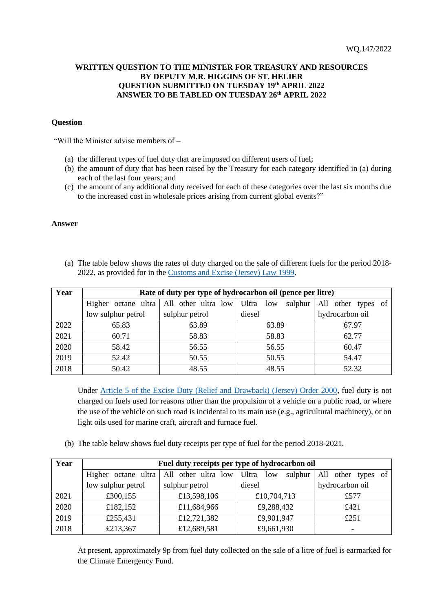## **WRITTEN QUESTION TO THE MINISTER FOR TREASURY AND RESOURCES BY DEPUTY M.R. HIGGINS OF ST. HELIER QUESTION SUBMITTED ON TUESDAY 19th APRIL 2022 ANSWER TO BE TABLED ON TUESDAY 26th APRIL 2022**

## **Question**

"Will the Minister advise members of –

- (a) the different types of fuel duty that are imposed on different users of fuel;
- (b) the amount of duty that has been raised by the Treasury for each category identified in (a) during each of the last four years; and
- (c) the amount of any additional duty received for each of these categories over the last six months due to the increased cost in wholesale prices arising from current global events?"

## **Answer**

(a) The table below shows the rates of duty charged on the sale of different fuels for the period 2018- 2022, as provided for in the [Customs and Excise \(Jersey\) Law 1999.](https://www.jerseylaw.je/laws/current/Pages/24.660.aspx#_Toc99802697)

| Year | Rate of duty per type of hydrocarbon oil (pence per litre) |                                                       |         |                    |  |  |
|------|------------------------------------------------------------|-------------------------------------------------------|---------|--------------------|--|--|
|      |                                                            | Higher octane ultra   All other ultra low   Ultra low | sulphur | All other types of |  |  |
|      | low sulphur petrol                                         | sulphur petrol                                        | diesel  | hydrocarbon oil    |  |  |
| 2022 | 65.83                                                      | 63.89                                                 | 63.89   | 67.97              |  |  |
| 2021 | 60.71                                                      | 58.83                                                 | 58.83   | 62.77              |  |  |
| 2020 | 58.42                                                      | 56.55                                                 | 56.55   | 60.47              |  |  |
| 2019 | 52.42                                                      | 50.55                                                 | 50.55   | 54.47              |  |  |
| 2018 | 50.42                                                      | 48.55                                                 | 48.55   | 52.32              |  |  |

Under [Article 5 of the Excise Duty \(Relief and Drawback\) \(Jersey\) Order 2000,](https://www.jerseylaw.je/laws/current/Pages/24.660.50.aspx#_Toc83305745) fuel duty is not charged on fuels used for reasons other than the propulsion of a vehicle on a public road, or where the use of the vehicle on such road is incidental to its main use (e.g., agricultural machinery), or on light oils used for marine craft, aircraft and furnace fuel.

(b) The table below shows fuel duty receipts per type of fuel for the period 2018-2021.

| Year | Fuel duty receipts per type of hydrocarbon oil |                     |                         |                       |  |  |
|------|------------------------------------------------|---------------------|-------------------------|-----------------------|--|--|
|      | Higher octane ultra                            | All other ultra low | Ultra<br>low<br>sulphur | All<br>other types of |  |  |
|      | low sulphur petrol                             | sulphur petrol      | diesel                  | hydrocarbon oil       |  |  |
| 2021 | £300,155                                       | £13,598,106         | £10,704,713             | £577                  |  |  |
| 2020 | £182,152                                       | £11,684,966         | £9,288,432              | £421                  |  |  |
| 2019 | £255,431                                       | £12,721,382         | £9,901,947              | £251                  |  |  |
| 2018 | £213,367                                       | £12,689,581         | £9,661,930              |                       |  |  |

At present, approximately 9p from fuel duty collected on the sale of a litre of fuel is earmarked for the Climate Emergency Fund.